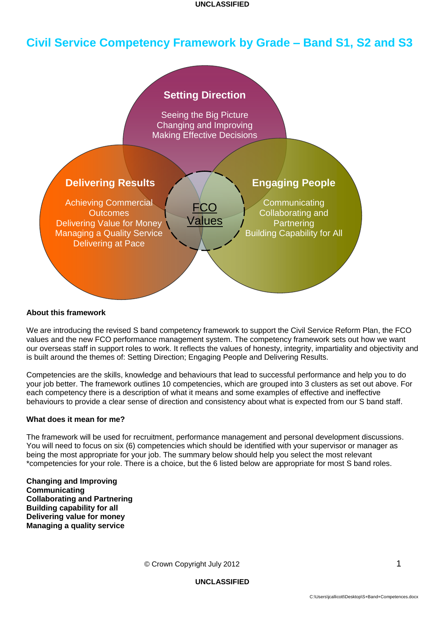# **Civil Service Competency Framework by Grade – Band S1, S2 and S3**



#### **About this framework**

We are introducing the revised S band competency framework to support the Civil Service Reform Plan, the FCO values and the new FCO performance management system. The competency framework sets out how we want our overseas staff in support roles to work. It reflects the values of honesty, integrity, impartiality and objectivity and is built around the themes of: Setting Direction; Engaging People and Delivering Results.

Competencies are the skills, knowledge and behaviours that lead to successful performance and help you to do your job better. The framework outlines 10 competencies, which are grouped into 3 clusters as set out above. For each competency there is a description of what it means and some examples of effective and ineffective behaviours to provide a clear sense of direction and consistency about what is expected from our S band staff.

#### **What does it mean for me?**

The framework will be used for recruitment, performance management and personal development discussions. You will need to focus on six (6) competencies which should be identified with your supervisor or manager as being the most appropriate for your job. The summary below should help you select the most relevant \*competencies for your role. There is a choice, but the 6 listed below are appropriate for most S band roles.

**Changing and Improving Communicating Collaborating and Partnering Building capability for all Delivering value for money Managing a quality service**

© Crown Copyright July 2012 1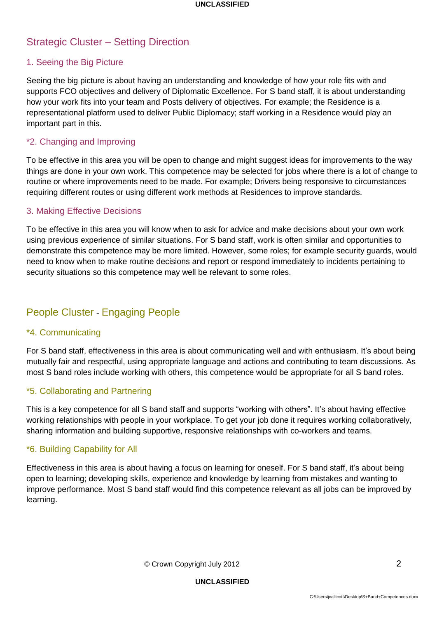# Strategic Cluster – Setting Direction

### 1. Seeing the Big Picture

Seeing the big picture is about having an understanding and knowledge of how your role fits with and supports FCO objectives and delivery of Diplomatic Excellence. For S band staff, it is about understanding how your work fits into your team and Posts delivery of objectives. For example; the Residence is a representational platform used to deliver Public Diplomacy; staff working in a Residence would play an important part in this.

### \*2. Changing and Improving

To be effective in this area you will be open to change and might suggest ideas for improvements to the way things are done in your own work. This competence may be selected for jobs where there is a lot of change to routine or where improvements need to be made. For example; Drivers being responsive to circumstances requiring different routes or using different work methods at Residences to improve standards.

### 3. Making Effective Decisions

To be effective in this area you will know when to ask for advice and make decisions about your own work using previous experience of similar situations. For S band staff, work is often similar and opportunities to demonstrate this competence may be more limited. However, some roles; for example security guards, would need to know when to make routine decisions and report or respond immediately to incidents pertaining to security situations so this competence may well be relevant to some roles.

## People Cluster - Engaging People

### \*4. Communicating

For S band staff, effectiveness in this area is about communicating well and with enthusiasm. It's about being mutually fair and respectful, using appropriate language and actions and contributing to team discussions. As most S band roles include working with others, this competence would be appropriate for all S band roles.

### \*5. Collaborating and Partnering

This is a key competence for all S band staff and supports "working with others". It's about having effective working relationships with people in your workplace. To get your job done it requires working collaboratively, sharing information and building supportive, responsive relationships with co-workers and teams.

### \*6. Building Capability for All

Effectiveness in this area is about having a focus on learning for oneself. For S band staff, it's about being open to learning; developing skills, experience and knowledge by learning from mistakes and wanting to improve performance. Most S band staff would find this competence relevant as all jobs can be improved by learning.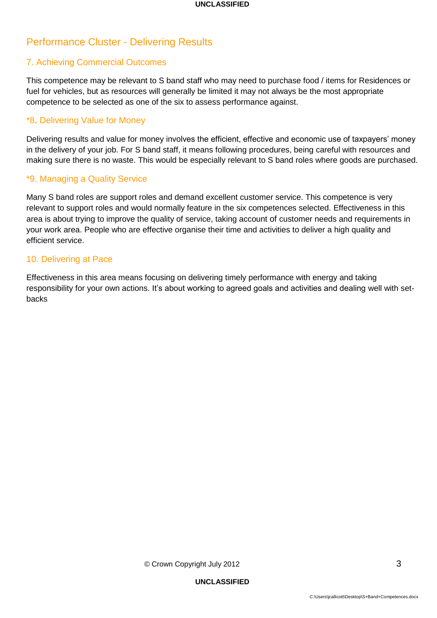# Performance Cluster - Delivering Results

## 7. Achieving Commercial Outcomes

This competence may be relevant to S band staff who may need to purchase food / items for Residences or fuel for vehicles, but as resources will generally be limited it may not always be the most appropriate competence to be selected as one of the six to assess performance against.

### \*8**.** Delivering Value for Money

Delivering results and value for money involves the efficient, effective and economic use of taxpayers' money in the delivery of your job. For S band staff, it means following procedures, being careful with resources and making sure there is no waste. This would be especially relevant to S band roles where goods are purchased.

### \*9. Managing a Quality Service

Many S band roles are support roles and demand excellent customer service. This competence is very relevant to support roles and would normally feature in the six competences selected. Effectiveness in this area is about trying to improve the quality of service, taking account of customer needs and requirements in your work area. People who are effective organise their time and activities to deliver a high quality and efficient service.

### 10. Delivering at Pace

Effectiveness in this area means focusing on delivering timely performance with energy and taking responsibility for your own actions. It's about working to agreed goals and activities and dealing well with setbacks

© Crown Copyright July 2012 3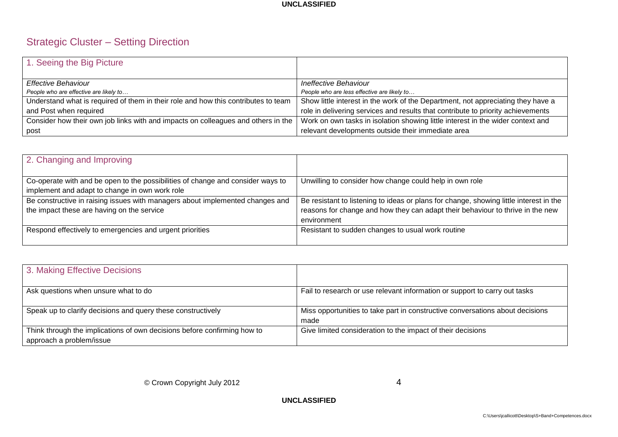# Strategic Cluster – Setting Direction

| 1. Seeing the Big Picture                                                          |                                                                                  |
|------------------------------------------------------------------------------------|----------------------------------------------------------------------------------|
| Effective Behaviour                                                                | Ineffective Behaviour                                                            |
| People who are effective are likely to                                             | People who are less effective are likely to                                      |
| Understand what is required of them in their role and how this contributes to team | Show little interest in the work of the Department, not appreciating they have a |
| and Post when required                                                             | role in delivering services and results that contribute to priority achievements |
| Consider how their own job links with and impacts on colleagues and others in the  | Work on own tasks in isolation showing little interest in the wider context and  |
| post                                                                               | relevant developments outside their immediate area                               |

| 2. Changing and Improving                                                                                                         |                                                                                                                                                                                         |
|-----------------------------------------------------------------------------------------------------------------------------------|-----------------------------------------------------------------------------------------------------------------------------------------------------------------------------------------|
| Co-operate with and be open to the possibilities of change and consider ways to<br>implement and adapt to change in own work role | Unwilling to consider how change could help in own role                                                                                                                                 |
| Be constructive in raising issues with managers about implemented changes and<br>the impact these are having on the service       | Be resistant to listening to ideas or plans for change, showing little interest in the<br>reasons for change and how they can adapt their behaviour to thrive in the new<br>environment |
| Respond effectively to emergencies and urgent priorities                                                                          | Resistant to sudden changes to usual work routine                                                                                                                                       |

| 3. Making Effective Decisions                                                                        |                                                                                       |
|------------------------------------------------------------------------------------------------------|---------------------------------------------------------------------------------------|
| Ask questions when unsure what to do                                                                 | Fail to research or use relevant information or support to carry out tasks            |
| Speak up to clarify decisions and query these constructively                                         | Miss opportunities to take part in constructive conversations about decisions<br>made |
| Think through the implications of own decisions before confirming how to<br>approach a problem/issue | Give limited consideration to the impact of their decisions                           |

© Crown Copyright July 2012 4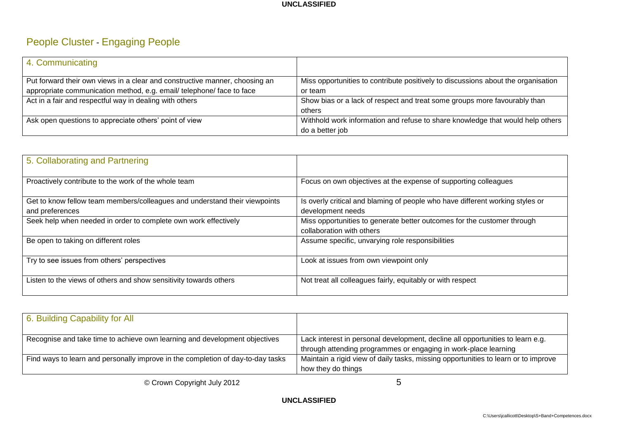# People Cluster - Engaging People

| 4. Communicating                                                            |                                                                                   |
|-----------------------------------------------------------------------------|-----------------------------------------------------------------------------------|
| Put forward their own views in a clear and constructive manner, choosing an | Miss opportunities to contribute positively to discussions about the organisation |
| appropriate communication method, e.g. email/ telephone/ face to face       | or team                                                                           |
| Act in a fair and respectful way in dealing with others                     | Show bias or a lack of respect and treat some groups more favourably than         |
|                                                                             | others                                                                            |
| Ask open questions to appreciate others' point of view                      | Withhold work information and refuse to share knowledge that would help others    |
|                                                                             | do a better job                                                                   |

| 5. Collaborating and Partnering                                                               |                                                                                                      |
|-----------------------------------------------------------------------------------------------|------------------------------------------------------------------------------------------------------|
| Proactively contribute to the work of the whole team                                          | Focus on own objectives at the expense of supporting colleagues                                      |
| Get to know fellow team members/colleagues and understand their viewpoints<br>and preferences | Is overly critical and blaming of people who have different working styles or<br>development needs   |
| Seek help when needed in order to complete own work effectively                               | Miss opportunities to generate better outcomes for the customer through<br>collaboration with others |
| Be open to taking on different roles                                                          | Assume specific, unvarying role responsibilities                                                     |
| Try to see issues from others' perspectives                                                   | Look at issues from own viewpoint only                                                               |
| Listen to the views of others and show sensitivity towards others                             | Not treat all colleagues fairly, equitably or with respect                                           |

| 6. Building Capability for All                                                  |                                                                                    |
|---------------------------------------------------------------------------------|------------------------------------------------------------------------------------|
| Recognise and take time to achieve own learning and development objectives      | Lack interest in personal development, decline all opportunities to learn e.g.     |
|                                                                                 | through attending programmes or engaging in work-place learning                    |
| Find ways to learn and personally improve in the completion of day-to-day tasks | Maintain a rigid view of daily tasks, missing opportunities to learn or to improve |
|                                                                                 | how they do things                                                                 |

© Crown Copyright July 2012 **5**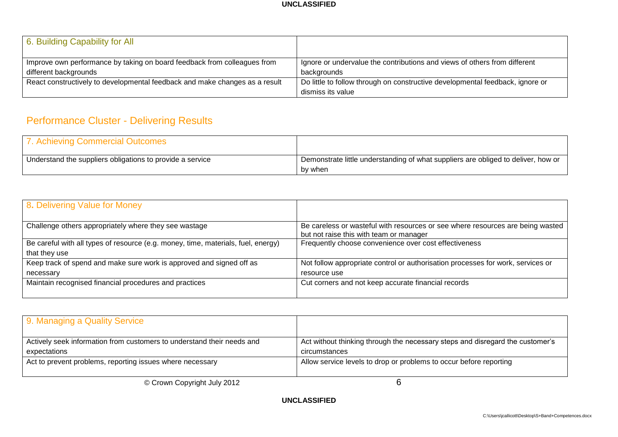| 6. Building Capability for All                                              |                                                                               |
|-----------------------------------------------------------------------------|-------------------------------------------------------------------------------|
| Improve own performance by taking on board feedback from colleagues from    | Ignore or undervalue the contributions and views of others from different     |
| different backgrounds                                                       | backgrounds                                                                   |
| React constructively to developmental feedback and make changes as a result | Do little to follow through on constructive developmental feedback, ignore or |
|                                                                             | dismiss its value                                                             |

# Performance Cluster - Delivering Results

| 7. Achieving Commercial Outcomes                          |                                                                                   |
|-----------------------------------------------------------|-----------------------------------------------------------------------------------|
| Understand the suppliers obligations to provide a service | Demonstrate little understanding of what suppliers are obliged to deliver, how or |
|                                                           | by when                                                                           |

| 8. Delivering Value for Money                                                                      |                                                                                                                           |
|----------------------------------------------------------------------------------------------------|---------------------------------------------------------------------------------------------------------------------------|
| Challenge others appropriately where they see wastage                                              | Be careless or wasteful with resources or see where resources are being wasted<br>but not raise this with team or manager |
| Be careful with all types of resource (e.g. money, time, materials, fuel, energy)<br>that they use | Frequently choose convenience over cost effectiveness                                                                     |
| Keep track of spend and make sure work is approved and signed off as                               | Not follow appropriate control or authorisation processes for work, services or                                           |
| necessary                                                                                          | resource use                                                                                                              |
| Maintain recognised financial procedures and practices                                             | Cut corners and not keep accurate financial records                                                                       |

| 9. Managing a Quality Service                                                          |                                                                                                |
|----------------------------------------------------------------------------------------|------------------------------------------------------------------------------------------------|
| Actively seek information from customers to understand their needs and<br>expectations | Act without thinking through the necessary steps and disregard the customer's<br>circumstances |
| Act to prevent problems, reporting issues where necessary                              | Allow service levels to drop or problems to occur before reporting                             |